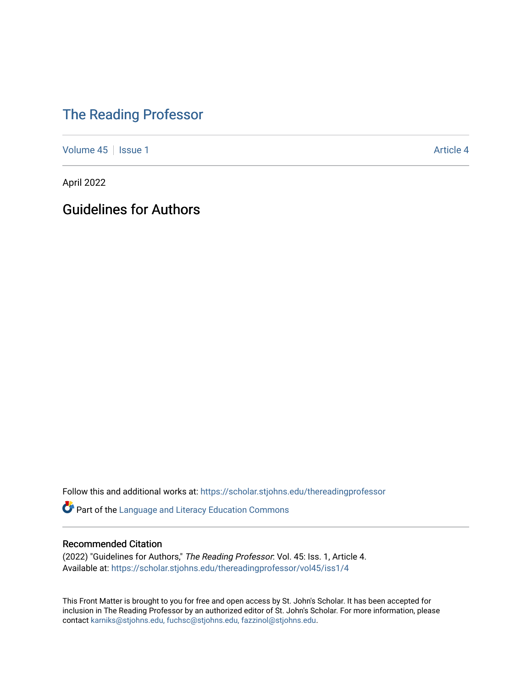## [The Reading Professor](https://scholar.stjohns.edu/thereadingprofessor)

[Volume 45](https://scholar.stjohns.edu/thereadingprofessor/vol45) | [Issue 1](https://scholar.stjohns.edu/thereadingprofessor/vol45/iss1) Article 4

April 2022

Guidelines for Authors

Follow this and additional works at: [https://scholar.stjohns.edu/thereadingprofessor](https://scholar.stjohns.edu/thereadingprofessor?utm_source=scholar.stjohns.edu%2Fthereadingprofessor%2Fvol45%2Fiss1%2F4&utm_medium=PDF&utm_campaign=PDFCoverPages) 

Part of the [Language and Literacy Education Commons](http://network.bepress.com/hgg/discipline/1380?utm_source=scholar.stjohns.edu%2Fthereadingprofessor%2Fvol45%2Fiss1%2F4&utm_medium=PDF&utm_campaign=PDFCoverPages) 

## Recommended Citation

(2022) "Guidelines for Authors," The Reading Professor: Vol. 45: Iss. 1, Article 4. Available at: [https://scholar.stjohns.edu/thereadingprofessor/vol45/iss1/4](https://scholar.stjohns.edu/thereadingprofessor/vol45/iss1/4?utm_source=scholar.stjohns.edu%2Fthereadingprofessor%2Fvol45%2Fiss1%2F4&utm_medium=PDF&utm_campaign=PDFCoverPages) 

This Front Matter is brought to you for free and open access by St. John's Scholar. It has been accepted for inclusion in The Reading Professor by an authorized editor of St. John's Scholar. For more information, please contact [karniks@stjohns.edu, fuchsc@stjohns.edu, fazzinol@stjohns.edu.](mailto:karniks@stjohns.edu,%20fuchsc@stjohns.edu,%20fazzinol@stjohns.edu)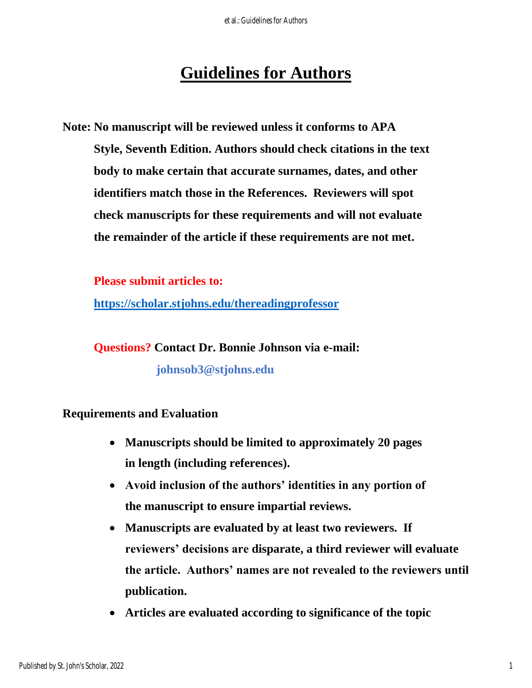## **Guidelines for Authors**

**Note: No manuscript will be reviewed unless it conforms to APA Style, Seventh Edition. Authors should check citations in the text body to make certain that accurate surnames, dates, and other identifiers match those in the References. Reviewers will spot check manuscripts for these requirements and will not evaluate the remainder of the article if these requirements are not met.**

**Please submit articles to:**

**<https://scholar.stjohns.edu/thereadingprofessor>**

**Questions? Contact Dr. Bonnie Johnson via e-mail:** 

**johnsob3@stjohns.edu**

## **Requirements and Evaluation**

- **Manuscripts should be limited to approximately 20 pages in length (including references).**
- **Avoid inclusion of the authors' identities in any portion of the manuscript to ensure impartial reviews.**
- **Manuscripts are evaluated by at least two reviewers. If reviewers' decisions are disparate, a third reviewer will evaluate the article. Authors' names are not revealed to the reviewers until publication.**
- **Articles are evaluated according to significance of the topic**